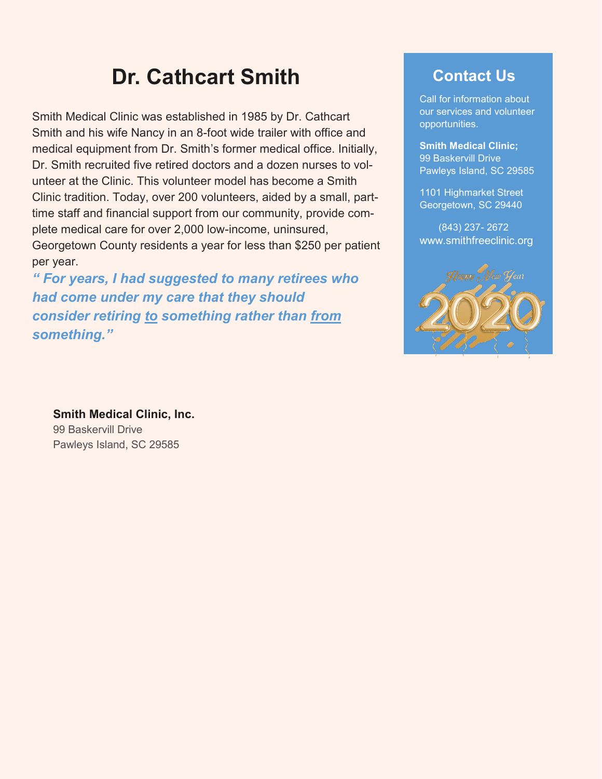# **Dr. Cathcart Smith**

Smith Medical Clinic was established in 1985 by Dr. Cathcart Smith and his wife Nancy in an 8-foot wide trailer with office and medical equipment from Dr. Smith's former medical office. Initially, Dr. Smith recruited five retired doctors and a dozen nurses to volunteer at the Clinic. This volunteer model has become a Smith Clinic tradition. Today, over 200 volunteers, aided by a small, parttime staff and financial support from our community, provide complete medical care for over 2,000 low-income, uninsured, Georgetown County residents a year for less than \$250 per patient per year.

*" For years, I had suggested to many retirees who had come under my care that they should consider retiring to something rather than from something."*

# **Contact Us**

Call for information about our services and volunteer opportunities.

**Smith Medical Clinic;**  99 Baskervill Drive Pawleys Island, SC 29585

1101 Highmarket Street Georgetown, SC 29440

 (843) 237- 2672 www.smithfreeclinic.org



**Smith Medical Clinic, Inc.** 99 Baskervill Drive Pawleys Island, SC 29585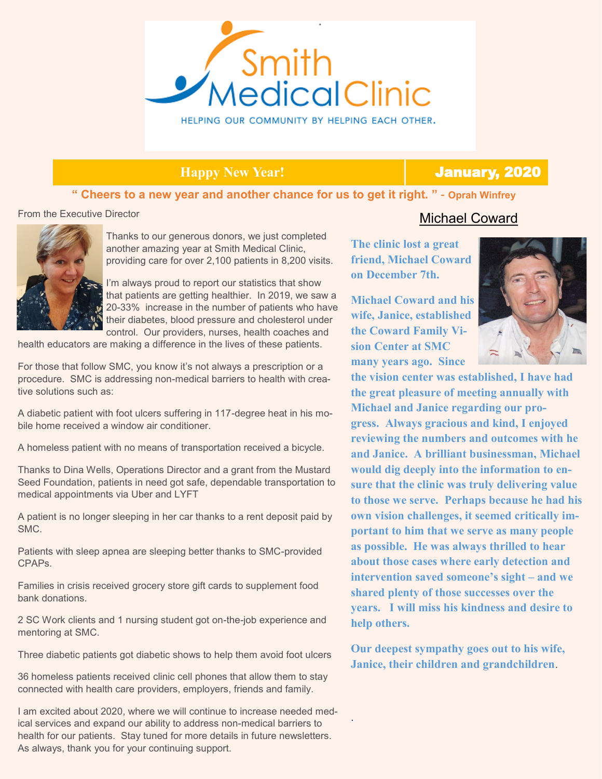

### **Happy New Year!** January, 2020

#### **" Cheers to a new year and another chance for us to get it right. "** - **Oprah Winfrey**

From the Executive Director



Thanks to our generous donors, we just completed another amazing year at Smith Medical Clinic, providing care for over 2,100 patients in 8,200 visits.

I'm always proud to report our statistics that show that patients are getting healthier. In 2019, we saw a 20-33% increase in the number of patients who have their diabetes, blood pressure and cholesterol under control. Our providers, nurses, health coaches and

health educators are making a difference in the lives of these patients.

For those that follow SMC, you know it's not always a prescription or a procedure. SMC is addressing non-medical barriers to health with creative solutions such as:

A diabetic patient with foot ulcers suffering in 117-degree heat in his mobile home received a window air conditioner.

A homeless patient with no means of transportation received a bicycle.

Thanks to Dina Wells, Operations Director and a grant from the Mustard Seed Foundation, patients in need got safe, dependable transportation to medical appointments via Uber and LYFT

A patient is no longer sleeping in her car thanks to a rent deposit paid by SMC.

Patients with sleep apnea are sleeping better thanks to SMC-provided CPAPs.

Families in crisis received grocery store gift cards to supplement food bank donations.

2 SC Work clients and 1 nursing student got on-the-job experience and mentoring at SMC.

Three diabetic patients got diabetic shows to help them avoid foot ulcers

36 homeless patients received clinic cell phones that allow them to stay connected with health care providers, employers, friends and family.

I am excited about 2020, where we will continue to increase needed medical services and expand our ability to address non-medical barriers to health for our patients. Stay tuned for more details in future newsletters. As always, thank you for your continuing support.

### Michael Coward

**The clinic lost a great friend, Michael Coward on December 7th.** 

**Michael Coward and his wife, Janice, established the Coward Family Vision Center at SMC many years ago. Since** 



**the vision center was established, I have had the great pleasure of meeting annually with Michael and Janice regarding our progress. Always gracious and kind, I enjoyed reviewing the numbers and outcomes with he and Janice. A brilliant businessman, Michael would dig deeply into the information to ensure that the clinic was truly delivering value to those we serve. Perhaps because he had his own vision challenges, it seemed critically important to him that we serve as many people as possible. He was always thrilled to hear about those cases where early detection and intervention saved someone's sight – and we shared plenty of those successes over the years. I will miss his kindness and desire to help others.** 

**Our deepest sympathy goes out to his wife, Janice, their children and grandchildren**.

.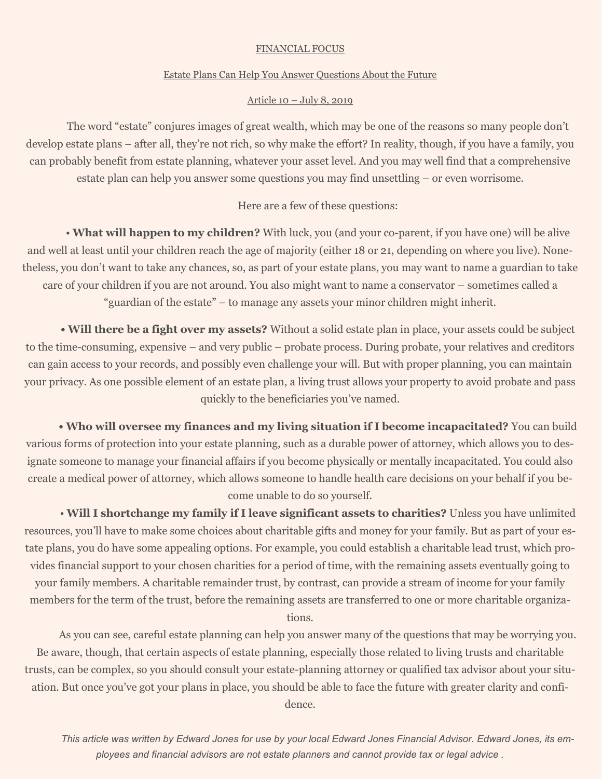#### FINANCIAL FOCUS

#### Estate Plans Can Help You Answer Questions About the Future

#### Article 10 – July 8, 2019

The word "estate" conjures images of great wealth, which may be one of the reasons so many people don't develop estate plans – after all, they're not rich, so why make the effort? In reality, though, if you have a family, you can probably benefit from estate planning, whatever your asset level. And you may well find that a comprehensive estate plan can help you answer some questions you may find unsettling – or even worrisome.

#### Here are a few of these questions:

• **What will happen to my children?** With luck, you (and your co-parent, if you have one) will be alive and well at least until your children reach the age of majority (either 18 or 21, depending on where you live). Nonetheless, you don't want to take any chances, so, as part of your estate plans, you may want to name a guardian to take care of your children if you are not around. You also might want to name a conservator – sometimes called a "guardian of the estate" – to manage any assets your minor children might inherit.

**• Will there be a fight over my assets?** Without a solid estate plan in place, your assets could be subject to the time-consuming, expensive – and very public – probate process. During probate, your relatives and creditors can gain access to your records, and possibly even challenge your will. But with proper planning, you can maintain your privacy. As one possible element of an estate plan, a living trust allows your property to avoid probate and pass quickly to the beneficiaries you've named.

**• Who will oversee my finances and my living situation if I become incapacitated?** You can build various forms of protection into your estate planning, such as a durable power of attorney, which allows you to designate someone to manage your financial affairs if you become physically or mentally incapacitated. You could also create a medical power of attorney, which allows someone to handle health care decisions on your behalf if you become unable to do so yourself.

• **Will I shortchange my family if I leave significant assets to charities?** Unless you have unlimited resources, you'll have to make some choices about charitable gifts and money for your family. But as part of your estate plans, you do have some appealing options. For example, you could establish a charitable lead trust, which provides financial support to your chosen charities for a period of time, with the remaining assets eventually going to your family members. A charitable remainder trust, by contrast, can provide a stream of income for your family members for the term of the trust, before the remaining assets are transferred to one or more charitable organizations.

As you can see, careful estate planning can help you answer many of the questions that may be worrying you. Be aware, though, that certain aspects of estate planning, especially those related to living trusts and charitable trusts, can be complex, so you should consult your estate-planning attorney or qualified tax advisor about your situation. But once you've got your plans in place, you should be able to face the future with greater clarity and confi-

dence.

*This article was written by Edward Jones for use by your local Edward Jones Financial Advisor. Edward Jones, its employees and financial advisors are not estate planners and cannot provide tax or legal advice .*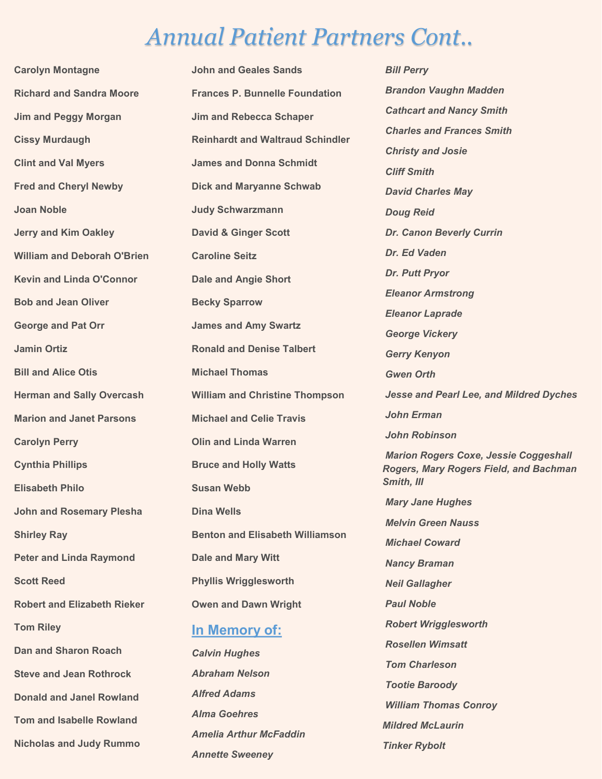# *Annual Patient Partners Cont..*

**Carolyn Montagne Richard and Sandra Moore Jim and Peggy Morgan Cissy Murdaugh Clint and Val Myers Fred and Cheryl Newby Joan Noble Jerry and Kim Oakley William and Deborah O'Brien Kevin and Linda O'Connor Bob and Jean Oliver George and Pat Orr Jamin Ortiz Bill and Alice Otis Herman and Sally Overcash Marion and Janet Parsons Carolyn Perry Cynthia Phillips Elisabeth Philo John and Rosemary Plesha Shirley Ray Peter and Linda Raymond Scott Reed Robert and Elizabeth Rieker Tom Riley Dan and Sharon Roach Steve and Jean Rothrock Donald and Janel Rowland Tom and Isabelle Rowland Nicholas and Judy Rummo**

**John and Geales Sands Frances P. Bunnelle Foundation Jim and Rebecca Schaper Reinhardt and Waltraud Schindler James and Donna Schmidt Dick and Maryanne Schwab Judy Schwarzmann David & Ginger Scott Caroline Seitz Dale and Angie Short Becky Sparrow James and Amy Swartz Ronald and Denise Talbert Michael Thomas William and Christine Thompson Michael and Celie Travis Olin and Linda Warren Bruce and Holly Watts Susan Webb Dina Wells Benton and Elisabeth Williamson Dale and Mary Witt Phyllis Wrigglesworth Owen and Dawn Wright In Memory of:** *Calvin Hughes*

*Abraham Nelson Alfred Adams Alma Goehres Amelia Arthur McFaddin Annette Sweeney*

*Bill Perry Brandon Vaughn Madden Cathcart and Nancy Smith Charles and Frances Smith Christy and Josie Cliff Smith David Charles May Doug Reid Dr. Canon Beverly Currin Dr. Ed Vaden Dr. Putt Pryor Eleanor Armstrong Eleanor Laprade George Vickery Gerry Kenyon Gwen Orth Jesse and Pearl Lee, and Mildred Dyches John Erman John Robinson Marion Rogers Coxe, Jessie Coggeshall Rogers, Mary Rogers Field, and Bachman Smith, III Mary Jane Hughes Melvin Green Nauss Michael Coward Nancy Braman Neil Gallagher Paul Noble Robert Wrigglesworth Rosellen Wimsatt Tom Charleson Tootie Baroody William Thomas Conroy Mildred McLaurin Tinker Rybolt*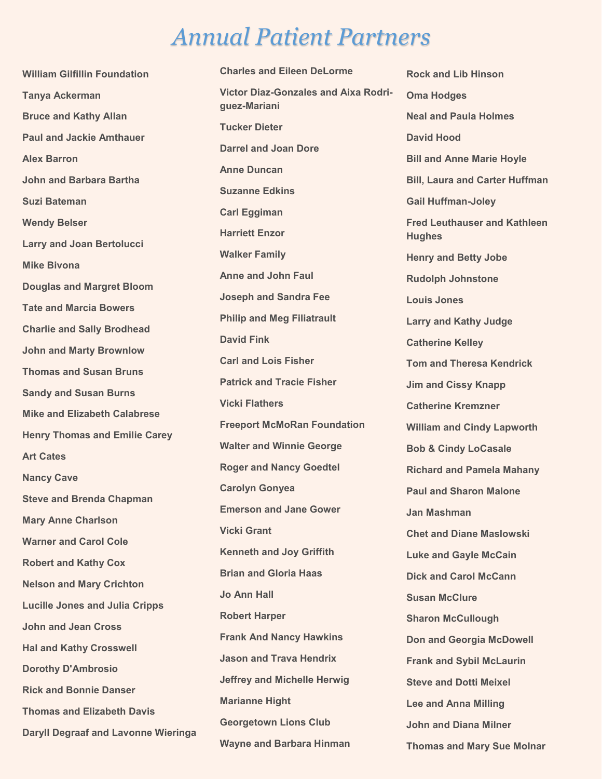# *Annual Patient Partners*

**William Gilfillin Foundation Tanya Ackerman Bruce and Kathy Allan Paul and Jackie Amthauer Alex Barron John and Barbara Bartha Suzi Bateman Wendy Belser Larry and Joan Bertolucci Mike Bivona Douglas and Margret Bloom Tate and Marcia Bowers Charlie and Sally Brodhead John and Marty Brownlow Thomas and Susan Bruns Sandy and Susan Burns Mike and Elizabeth Calabrese Henry Thomas and Emilie Carey Art Cates Nancy Cave Steve and Brenda Chapman Mary Anne Charlson Warner and Carol Cole Robert and Kathy Cox Nelson and Mary Crichton Lucille Jones and Julia Cripps John and Jean Cross Hal and Kathy Crosswell Dorothy D'Ambrosio Rick and Bonnie Danser Thomas and Elizabeth Davis Daryll Degraaf and Lavonne Wieringa**

**Charles and Eileen DeLorme Victor Diaz-Gonzales and Aixa Rodriguez-Mariani Tucker Dieter Darrel and Joan Dore Anne Duncan Suzanne Edkins Carl Eggiman Harriett Enzor Walker Family Anne and John Faul Joseph and Sandra Fee Philip and Meg Filiatrault David Fink Carl and Lois Fisher Patrick and Tracie Fisher Vicki Flathers Freeport McMoRan Foundation Walter and Winnie George Roger and Nancy Goedtel Carolyn Gonyea Emerson and Jane Gower Vicki Grant Kenneth and Joy Griffith Brian and Gloria Haas Jo Ann Hall Robert Harper Frank And Nancy Hawkins Jason and Trava Hendrix Jeffrey and Michelle Herwig Marianne Hight Georgetown Lions Club Wayne and Barbara Hinman**

**Rock and Lib Hinson Oma Hodges Neal and Paula Holmes David Hood Bill and Anne Marie Hoyle Bill, Laura and Carter Huffman Gail Huffman-Joley Fred Leuthauser and Kathleen Hughes Henry and Betty Jobe Rudolph Johnstone Louis Jones Larry and Kathy Judge Catherine Kelley Tom and Theresa Kendrick Jim and Cissy Knapp Catherine Kremzner William and Cindy Lapworth Bob & Cindy LoCasale Richard and Pamela Mahany Paul and Sharon Malone Jan Mashman Chet and Diane Maslowski Luke and Gayle McCain Dick and Carol McCann Susan McClure Sharon McCullough Don and Georgia McDowell Frank and Sybil McLaurin Steve and Dotti Meixel Lee and Anna Milling John and Diana Milner Thomas and Mary Sue Molnar**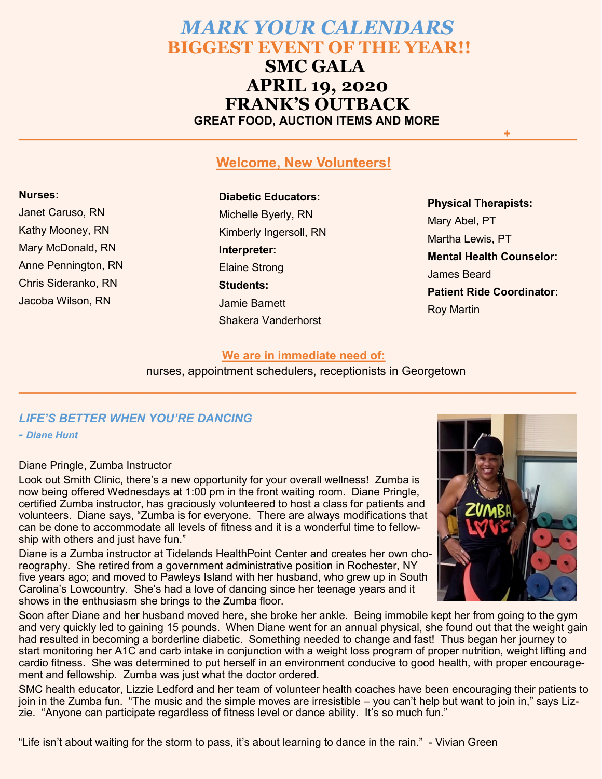# *MARK YOUR CALENDARS*   **BIGGEST EVENT OF THE YEAR!! SMC GALA APRIL 19, 2020**

 **FRANK'S OUTBACK GREAT FOOD, AUCTION ITEMS AND MORE**

#### **Welcome, New Volunteers!**

**\_\_\_\_\_\_\_\_\_\_\_\_\_\_\_\_\_\_\_\_\_\_\_\_\_\_\_\_\_\_\_\_\_\_\_\_\_\_\_\_\_\_\_\_\_\_\_\_\_\_\_\_\_\_\_\_\_\_\_\_\_\_\_\_\_\_\_\_\_\_\_\_\_\_+\_\_\_\_\_\_\_\_\_\_**

#### **Nurses:**

Janet Caruso, RN Kathy Mooney, RN Mary McDonald, RN Anne Pennington, RN Chris Sideranko, RN Jacoba Wilson, RN

## **Diabetic Educators:**

Michelle Byerly, RN Kimberly Ingersoll, RN **Interpreter:** Elaine Strong **Students:** Jamie Barnett Shakera Vanderhorst

**Physical Therapists:** Mary Abel, PT Martha Lewis, PT **Mental Health Counselor:** James Beard **Patient Ride Coordinator:** Roy Martin

#### **We are in immediate need of:**

**\_\_\_\_\_\_\_\_\_\_\_\_\_\_\_\_\_\_\_\_\_\_\_\_\_\_\_\_\_\_\_\_\_\_\_\_\_\_\_\_\_\_\_\_\_\_\_\_\_\_\_\_\_\_\_\_\_\_\_\_\_\_\_\_\_\_\_\_\_\_\_\_\_\_\_\_\_\_\_\_\_\_\_\_\_**

nurses, appointment schedulers, receptionists in Georgetown

### *LIFE'S BETTER WHEN YOU'RE DANCING*

*- Diane Hunt*

#### Diane Pringle, Zumba Instructor

Look out Smith Clinic, there's a new opportunity for your overall wellness! Zumba is now being offered Wednesdays at 1:00 pm in the front waiting room. Diane Pringle, certified Zumba instructor, has graciously volunteered to host a class for patients and volunteers. Diane says, "Zumba is for everyone. There are always modifications that can be done to accommodate all levels of fitness and it is a wonderful time to fellowship with others and just have fun."

Diane is a Zumba instructor at Tidelands HealthPoint Center and creates her own choreography. She retired from a government administrative position in Rochester, NY five years ago; and moved to Pawleys Island with her husband, who grew up in South Carolina's Lowcountry. She's had a love of dancing since her teenage years and it shows in the enthusiasm she brings to the Zumba floor.



Soon after Diane and her husband moved here, she broke her ankle. Being immobile kept her from going to the gym and very quickly led to gaining 15 pounds. When Diane went for an annual physical, she found out that the weight gain had resulted in becoming a borderline diabetic. Something needed to change and fast! Thus began her journey to start monitoring her A1C and carb intake in conjunction with a weight loss program of proper nutrition, weight lifting and cardio fitness. She was determined to put herself in an environment conducive to good health, with proper encouragement and fellowship. Zumba was just what the doctor ordered.

SMC health educator, Lizzie Ledford and her team of volunteer health coaches have been encouraging their patients to join in the Zumba fun. "The music and the simple moves are irresistible – you can't help but want to join in," says Lizzie. "Anyone can participate regardless of fitness level or dance ability. It's so much fun."

"Life isn't about waiting for the storm to pass, it's about learning to dance in the rain." - Vivian Green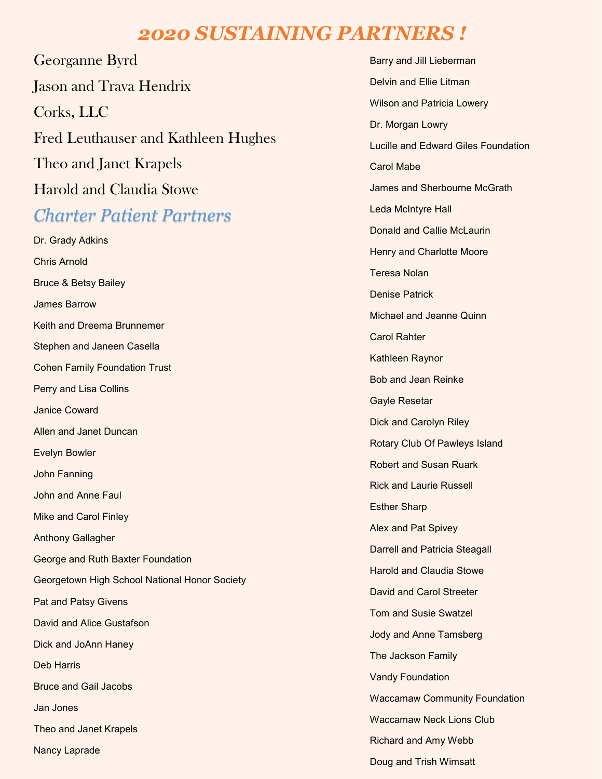# *2020 SUSTAINING PARTNERS !*

Georganne Byrd Jason and Trava Hendrix Corks, LLC Fred Leuthauser and Kathleen Hughes Theo and Janet Krapels Harold and Claudia Stowe

# *Charter Patient Partners*

Dr. Grady Adkins Chris Arnold Bruce & Betsy Bailey James Barrow Keith and Dreema Brunnemer Stephen and Janeen Casella Cohen Family Foundation Trust Perry and Lisa Collins Janice Coward Allen and Janet Duncan Evelyn Bowler John Fanning John and Anne Faul Mike and Carol Finley Anthony Gallagher George and Ruth Baxter Foundation Georgetown High School National Honor Society Pat and Patsy Givens David and Alice Gustafson Dick and JoAnn Haney Deb Harris Bruce and Gail Jacobs Jan Jones Theo and Janet Krapels Nancy Laprade

Barry and Jill Lieberman Delvin and Ellie Litman Wilson and Patricia Lowery Dr. Morgan Lowry Lucille and Edward Giles Foundation Carol Mabe James and Sherbourne McGrath Leda McIntyre Hall Donald and Callie McLaurin Henry and Charlotte Moore Teresa Nolan Denise Patrick Michael and Jeanne Quinn Carol Rahter Kathleen Raynor Bob and Jean Reinke Gayle Resetar Dick and Carolyn Riley Rotary Club Of Pawleys Island Robert and Susan Ruark Rick and Laurie Russell Esther Sharp Alex and Pat Spivey Darrell and Patricia Steagall Harold and Claudia Stowe David and Carol Streeter Tom and Susie Swatzel Jody and Anne Tamsberg The Jackson Family Vandy Foundation Waccamaw Community Foundation Waccamaw Neck Lions Club Richard and Amy Webb Doug and Trish Wimsatt